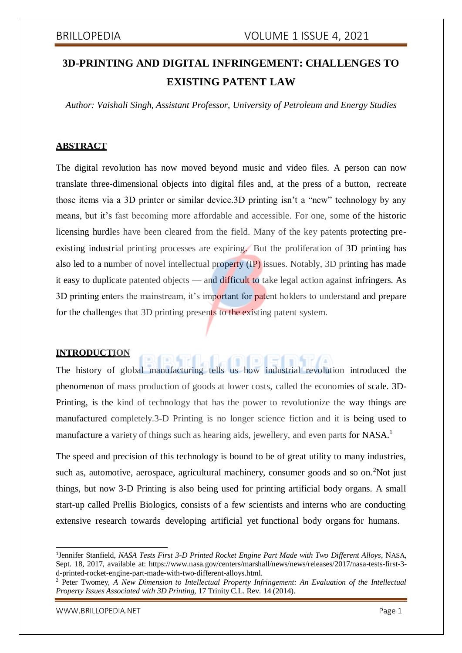## **3D-PRINTING AND DIGITAL INFRINGEMENT: CHALLENGES TO EXISTING PATENT LAW**

*Author: Vaishali Singh, Assistant Professor, University of Petroleum and Energy Studies*

#### **ABSTRACT**

The digital revolution has now moved beyond music and video files. A person can now translate three-dimensional objects into digital files and, at the press of a button, recreate those items via a 3D printer or similar device.3D printing isn't a "new" technology by any means, but it's fast becoming more affordable and accessible. For one, some of the historic licensing hurdles have been cleared from the field. Many of the key patents protecting preexisting industrial printing processes are expiring. But the proliferation of 3D printing has also led to a number of novel intellectual property (IP) issues. Notably, 3D printing has made it easy to duplicate patented objects — and difficult to take legal action against infringers. As 3D printing enters the mainstream, it's important for patent holders to understand and prepare for the challenges that 3D printing presents to the existing patent system.

#### **INTRODUCTION**

The history of global manufacturing tells us how industrial revolution introduced the phenomenon of mass production of goods at lower costs, called the economies of scale. 3D-Printing, is the kind of technology that has the power to revolutionize the way things are manufactured completely.3-D Printing is no longer science fiction and it is being used to manufacture a variety of things such as hearing aids, jewellery, and even parts for NASA.<sup>1</sup>

The speed and precision of this technology is bound to be of great utility to many industries. such as, automotive, aerospace, agricultural machinery, consumer goods and so on.<sup>2</sup>Not just things, but now 3-D Printing is also being used for printing artificial body organs. A small start-up called Prellis Biologics, consists of a few scientists and interns who are conducting extensive research towards developing artificial yet functional body organs for humans.

<sup>1</sup> Jennifer Stanfield, *NASA Tests First 3-D Printed Rocket Engine Part Made with Two Different Alloys*, NASA, Sept. 18, 2017, available at: https:/[/www.nasa.gov/centers/marshall/news/news/releases/2017/nasa-tests-first-3](http://www.nasa.gov/centers/marshall/news/news/releases/2017/nasa-tests-first-3-) d-printed-rocket-engine-part-made-with-two-different-alloys.html.

<sup>2</sup> Peter Twomey, *A New Dimension to Intellectual Property Infringement: An Evaluation of the Intellectual Property Issues Associated with 3D Printing*, 17 Trinity C.L. Rev. 14 (2014).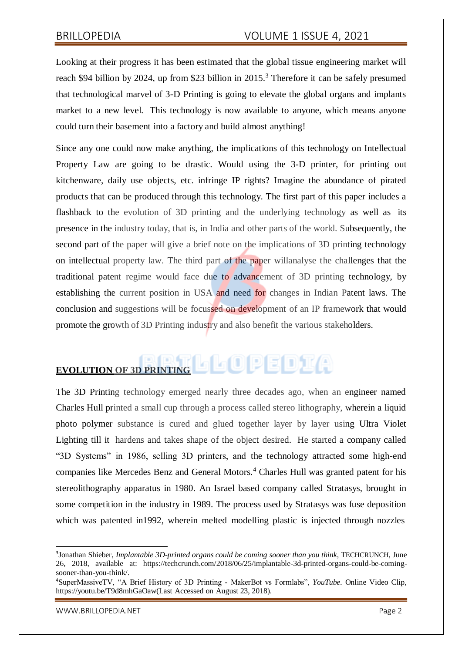Looking at their progress it has been estimated that the global tissue engineering market will reach \$94 billion by 2024, up from \$23 billion in 2015.<sup>3</sup> Therefore it can be safely presumed that technological marvel of 3-D Printing is going to elevate the global organs and implants market to a new level. This technology is now available to anyone, which means anyone could turn their basement into a factory and build almost anything!

Since any one could now make anything, the implications of this technology on Intellectual Property Law are going to be drastic. Would using the 3-D printer, for printing out kitchenware, daily use objects, etc. infringe IP rights? Imagine the abundance of pirated products that can be produced through this technology. The first part of this paper includes a flashback to the evolution of 3D printing and the underlying technology as well as its presence in the industry today, that is, in India and other parts of the world. Subsequently, the second part of the paper will give a brief note on the implications of 3D printing technology on intellectual property law. The third part of the paper willanalyse the challenges that the traditional patent regime would face due to advancement of 3D printing technology, by establishing the current position in USA and need for changes in Indian Patent laws. The conclusion and suggestions will be focussed on development of an IP framework that would promote the growth of 3D Printing industry and also benefit the various stakeholders.

# **EVOLUTION** OF 3D PRINTING **OF DECOMPLICA**

The 3D Printing technology emerged nearly three decades ago, when an engineer named Charles Hull printed a small cup through a process called stereo lithography, wherein a liquid photo polymer substance is cured and glued together layer by layer using Ultra Violet Lighting till it hardens and takes shape of the object desired. He started a company called "3D Systems" in 1986, selling 3D printers, and the technology attracted some high-end companies like Mercedes Benz and General Motors.<sup>4</sup> Charles Hull was granted patent for his stereolithography apparatus in 1980. An Israel based company called Stratasys, brought in some competition in the industry in 1989. The process used by Stratasys was fuse deposition which was patented in1992, wherein melted modelling plastic is injected through nozzles

<sup>3</sup> Jonathan Shieber, *Implantable 3D-printed organs could be coming sooner than you think*, TECHCRUNCH, June 26, 2018, available at: https://techcrunch.com/2018/06/25/implantable-3d-printed-organs-could-be-comingsooner-than-you-think/.

<sup>4</sup>SuperMassiveTV, "A Brief History of 3D Printing - MakerBot vs Formlabs", *YouTube.* Online Video Clip, https://youtu.be/T9d8mhGaOaw(Last Accessed on August 23, 2018).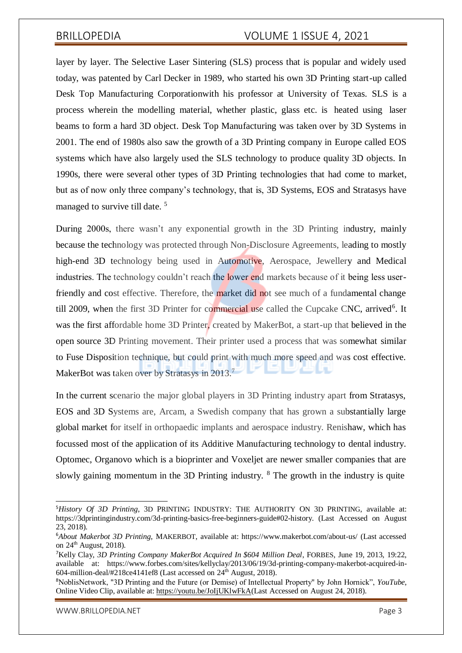layer by layer. The Selective Laser Sintering (SLS) process that is popular and widely used today, was patented by Carl Decker in 1989, who started his own 3D Printing start-up called Desk Top Manufacturing Corporationwith his professor at University of Texas. SLS is a process wherein the modelling material, whether plastic, glass etc. is heated using laser beams to form a hard 3D object. Desk Top Manufacturing was taken over by 3D Systems in 2001. The end of 1980s also saw the growth of a 3D Printing company in Europe called EOS systems which have also largely used the SLS technology to produce quality 3D objects. In 1990s, there were several other types of 3D Printing technologies that had come to market, but as of now only three company's technology, that is, 3D Systems, EOS and Stratasys have managed to survive till date.<sup>5</sup>

During 2000s, there wasn't any exponential growth in the 3D Printing industry, mainly because the technology was protected through Non-Disclosure Agreements, leading to mostly high-end 3D technology being used in Automotive, Aerospace, Jewellery and Medical industries. The technology couldn't reach the **lower end** markets because of it being less userfriendly and cost effective. Therefore, the market did not see much of a fundamental change till 2009, when the first 3D Printer for commercial use called the Cupcake CNC, arrived<sup>6</sup>. It was the first affordable home 3D Printer, created by MakerBot, a start-up that believed in the open source 3D Printing movement. Their printer used a process that was somewhat similar to Fuse Disposition technique, but could print with much more speed and was cost effective. MakerBot was taken over by Stratasys in 2013.<sup>7</sup>

In the current scenario the major global players in 3D Printing industry apart from Stratasys, EOS and 3D Systems are, Arcam, a Swedish company that has grown a substantially large global market for itself in orthopaedic implants and aerospace industry. Renishaw, which has focussed most of the application of its Additive Manufacturing technology to dental industry. Optomec, Organovo which is a bioprinter and Voxeljet are newer smaller companies that are slowly gaining momentum in the 3D Printing industry. <sup>8</sup> The growth in the industry is quite

[WWW.BRILLOPEDIA.NET](http://www.brillopedia.net/) **Page 3** 

<sup>5</sup>*History Of 3D Printing*, 3D PRINTING INDUSTRY: THE AUTHORITY ON 3D PRINTING, available at: https://3dprintingindustry.com/3d-printing-basics-free-beginners-guide#02-history. (Last Accessed on August 23, 2018).

<sup>6</sup>*About Makerbot 3D Printing*, MAKERBOT, available at: https:/[/www.makerbot.com/about-us/](http://www.makerbot.com/about-us/) (Last accessed on 24th August, 2018).

<sup>7</sup>Kelly Clay, *3D Printing Company MakerBot Acquired In \$604 Million Deal*, FORBES, June 19, 2013, 19:22, available at: https:/[/www.forbes.com/sites/kellyclay/2013/06/19/3d-printing-company-makerbot-acquired-in-](http://www.forbes.com/sites/kellyclay/2013/06/19/3d-printing-company-makerbot-acquired-in-)604-million-deal/ $\sharp$ 218ce4141ef8 (Last accessed on 24<sup>th</sup> August, 2018).

<sup>8</sup>NoblisNetwork, "3D Printing and the Future (or Demise) of Intellectual Property" by John Hornick", *YouTube*, Online Video Clip, available at: [https://youtu.be/JoIjUKlwFkA\(](https://youtu.be/JoIjUKlwFkA)Last Accessed on August 24, 2018).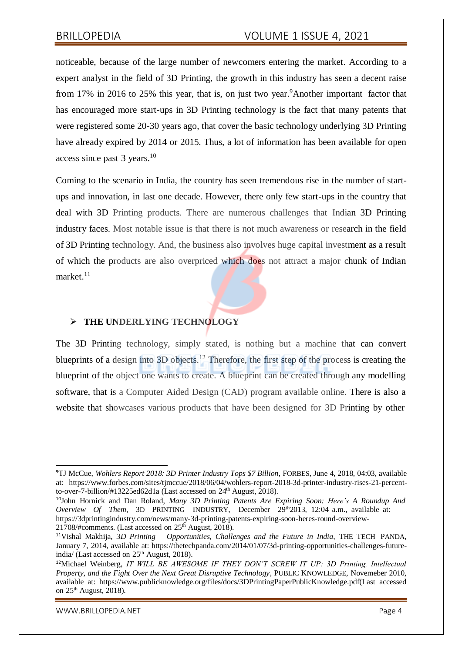noticeable, because of the large number of newcomers entering the market. According to a expert analyst in the field of 3D Printing, the growth in this industry has seen a decent raise from 17% in 2016 to 25% this year, that is, on just two year. Another important factor that has encouraged more start-ups in 3D Printing technology is the fact that many patents that were registered some 20-30 years ago, that cover the basic technology underlying 3D Printing have already expired by 2014 or 2015. Thus, a lot of information has been available for open access since past  $3$  years.<sup>10</sup>

Coming to the scenario in India, the country has seen tremendous rise in the number of startups and innovation, in last one decade. However, there only few start-ups in the country that deal with 3D Printing products. There are numerous challenges that Indian 3D Printing industry faces. Most notable issue is that there is not much awareness or research in the field of 3D Printing technology. And, the business also involves huge capital investment as a result of which the products are also overpriced which does not attract a major chunk of Indian market. $11$ 

#### **THE UNDERLYING TECHNOLOGY**

The 3D Printing technology, simply stated, is nothing but a machine that can convert blueprints of a design into 3D objects.<sup>12</sup> Therefore, the first step of the process is creating the blueprint of the object one wants to create. A blueprint can be created through any modelling software, that is a Computer Aided Design (CAD) program available online. There is also a website that showcases various products that have been designed for 3D Printing by other

[WWW.BRILLOPEDIA.NET](http://www.brillopedia.net/) **Page 4** 

<sup>9</sup>TJ McCue, *Wohlers Report 2018: 3D Printer Industry Tops \$7 Billion*, FORBES, June 4, 2018, 04:03, available at: https:/[/www.forbes.com/sites/tjmccue/2018/06/04/wohlers-report-2018-3d-printer-industry-rises-21-percent](http://www.forbes.com/sites/tjmccue/2018/06/04/wohlers-report-2018-3d-printer-industry-rises-21-percent-)to-over-7-billion/#13225ed62d1a (Last accessed on 24<sup>th</sup> August, 2018).

<sup>10</sup>John Hornick and Dan Roland, *Many 3D Printing Patents Are Expiring Soon: Here's A Roundup And Overview Of Them*, 3D PRINTING INDUSTRY, December 29<sup>th</sup>2013, 12:04 a.m., available at: https://3dprintingindustry.com/news/many-3d-printing-patents-expiring-soon-heres-round-overview- $21708$ /#comments. (Last accessed on  $25<sup>th</sup>$  August, 2018).

<sup>11</sup>Vishal Makhija, *3D Printing – Opportunities, Challenges and the Future in India*, THE TECH PANDA, January 7, 2014, available at: https://thetechpanda.com/2014/01/07/3d-printing-opportunities-challenges-futureindia/ (Last accessed on  $25<sup>th</sup>$  August, 2018).

<sup>12</sup>Michael Weinberg, *IT WILL BE AWESOME IF THEY DON'T SCREW IT UP: 3D Printing, Intellectual Property, and the Fight Over the Next Great Disruptive Technology*, PUBLIC KNOWLEDGE, Novemeber 2010, available at: https:/[/www.publicknowledge.org/files/docs/3DPrintingPaperPublicKnowledge.pdf\(Last](http://www.publicknowledge.org/files/docs/3DPrintingPaperPublicKnowledge.pdf(Last) accessed on 25<sup>th</sup> August, 2018).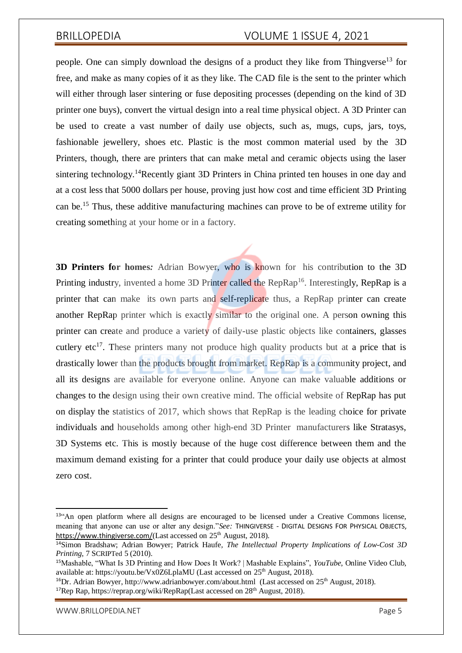people. One can simply download the designs of a product they like from Thingverse<sup>13</sup> for free, and make as many copies of it as they like. The CAD file is the sent to the printer which will either through laser sintering or fuse depositing processes (depending on the kind of 3D printer one buys), convert the virtual design into a real time physical object. A 3D Printer can be used to create a vast number of daily use objects, such as, mugs, cups, jars, toys, fashionable jewellery, shoes etc. Plastic is the most common material used by the 3D Printers, though, there are printers that can make metal and ceramic objects using the laser sintering technology.<sup>14</sup>Recently giant 3D Printers in China printed ten houses in one day and at a cost less that 5000 dollars per house, proving just how cost and time efficient 3D Printing can be.<sup>15</sup> Thus, these additive manufacturing machines can prove to be of extreme utility for creating something at your home or in a factory.

**3D Printers for homes***:* Adrian Bowyer, who is known for his contribution to the 3D Printing industry, invented a home 3D Printer called the RepRap<sup>16</sup>. Interestingly, RepRap is a printer that can make its own parts and self-replicate thus, a RepRap printer can create another RepRap printer which is exactly similar to the original one. A person owning this printer can create and produce a variety of daily-use plastic objects like containers, glasses cutlery etc<sup>17</sup>. These printers many not produce high quality products but at a price that is drastically lower than the products brought from market. RepRap is a community project, and all its designs are available for everyone online. Anyone can make valuable additions or changes to the design using their own creative mind. The official website of RepRap has put on display the statistics of 2017, which shows that RepRap is the leading choice for private individuals and households among other high-end 3D Printer manufacturers like Stratasys, 3D Systems etc. This is mostly because of the huge cost difference between them and the maximum demand existing for a printer that could produce your daily use objects at almost zero cost.

<sup>&</sup>lt;sup>13"</sup>An open platform where all designs are encouraged to be licensed under a Creative Commons license, meaning that anyone can use or alter any design."*See:* THINGIVERSE - DIGITAL DESIGNS FOR PHYSICAL OBJECTS, <https://www.thingiverse.com/>(Last accessed on 25<sup>th</sup> August, 2018).

<sup>14</sup>Simon Bradshaw; Adrian Bowyer; Patrick Haufe*, The Intellectual Property Implications of Low-Cost 3D Printing*, 7 SCRIPTed 5 (2010).

<sup>15</sup>Mashable, "What Is 3D Printing and How Does It Work? | Mashable Explains", *YouTube*, Online Video Club, available at: https://youtu.be/Vx0Z6LplaMU (Last accessed on 25<sup>th</sup> August, 2018).

<sup>&</sup>lt;sup>16</sup>Dr. Adrian Bowyer, <http://www.adrianbowyer.com/about.html> (Last accessed on  $25<sup>th</sup>$  August, 2018). <sup>17</sup>Rep Rap, https://reprap.org/wiki/RepRap(Last accessed on  $28<sup>th</sup>$  August, 2018).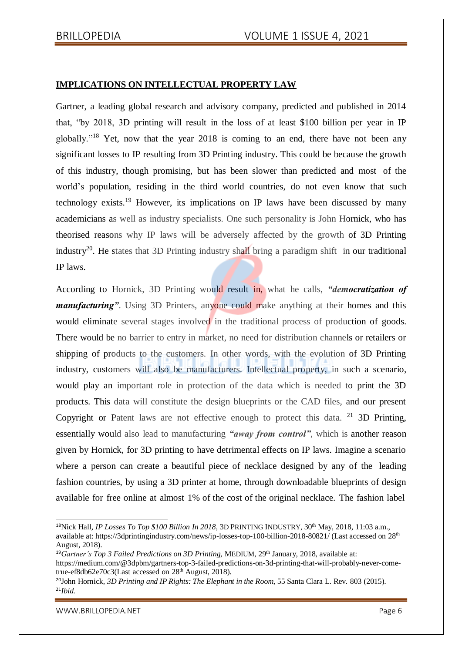#### **IMPLICATIONS ON INTELLECTUAL PROPERTY LAW**

Gartner, a leading global research and advisory company, predicted and published in 2014 that, "by 2018, 3D printing will result in the loss of at least \$100 billion per year in IP globally."<sup>18</sup> Yet, now that the year 2018 is coming to an end, there have not been any significant losses to IP resulting from 3D Printing industry. This could be because the growth of this industry, though promising, but has been slower than predicted and most of the world's population, residing in the third world countries, do not even know that such technology exists.<sup>19</sup> However, its implications on IP laws have been discussed by many academicians as well as industry specialists. One such personality is John Hornick, who has theorised reasons why IP laws will be adversely affected by the growth of 3D Printing industry<sup>20</sup>. He states that 3D Printing industry shall bring a paradigm shift in our traditional IP laws.

According to Hornick, 3D Printing would result in, what he calls, *"democratization of manufacturing*". Using 3D Printers, anyone could make anything at their homes and this would eliminate several stages involved in the traditional process of production of goods. There would be no barrier to entry in market, no need for distribution channels or retailers or shipping of products to the customers. In other words, with the evolution of 3D Printing industry, customers will also be manufacturers. Intellectual property, in such a scenario, would play an important role in protection of the data which is needed to print the 3D products. This data will constitute the design blueprints or the CAD files, and our present Copyright or Patent laws are not effective enough to protect this data. <sup>21</sup> 3D Printing, essentially would also lead to manufacturing *"away from control"*, which is another reason given by Hornick, for 3D printing to have detrimental effects on IP laws. Imagine a scenario where a person can create a beautiful piece of necklace designed by any of the leading fashion countries, by using a 3D printer at home, through downloadable blueprints of design available for free online at almost 1% of the cost of the original necklace. The fashion label

<sup>19</sup>*Gartner's Top 3 Failed Predictions on 3D Printing,* MEDIUM, 29th January, 2018, available at: [https://medium.com/@3dpbm/gartners-top-3-failed-predictions-on-3d-printing-that-will-probably-never-come](https://medium.com/%403dpbm/gartners-top-3-failed-predictions-on-3d-printing-that-will-probably-never-come-)true-ef8db62e70c3(Last accessed on 28<sup>th</sup> August, 2018).

<sup>&</sup>lt;sup>18</sup>Nick Hall, *IP Losses To Top \$100 Billion In 2018*, 3D PRINTING INDUSTRY, 30<sup>th</sup> May, 2018, 11:03 a.m., available at: https://3dprintingindustry.com/news/ip-losses-top-100-billion-2018-80821/ (Last accessed on 28th August, 2018).

<sup>20</sup>John Hornick, *3D Printing and IP Rights: The Elephant in the Room*, 55 Santa Clara L. Rev. 803 (2015). 21*Ibid.*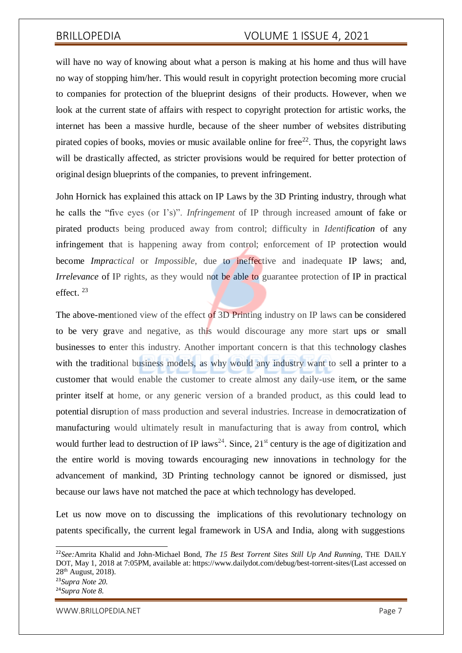will have no way of knowing about what a person is making at his home and thus will have no way of stopping him/her. This would result in copyright protection becoming more crucial to companies for protection of the blueprint designs of their products. However, when we look at the current state of affairs with respect to copyright protection for artistic works, the internet has been a massive hurdle, because of the sheer number of websites distributing pirated copies of books, movies or music available online for free<sup>22</sup>. Thus, the copyright laws will be drastically affected, as stricter provisions would be required for better protection of original design blueprints of the companies, to prevent infringement.

John Hornick has explained this attack on IP Laws by the 3D Printing industry, through what he calls the "five eyes (or I's)". *Infringement* of IP through increased amount of fake or pirated products being produced away from control; difficulty in *Identification* of any infringement that is happening away from control; enforcement of IP protection would become *Impractical* or *Impossible*, due to ineffective and inadequate IP laws; and, *Irrelevance* of IP rights, as they would not be able to guarantee protection of IP in practical effect. <sup>23</sup>

The above-mentioned view of the effect of 3D Printing industry on IP laws can be considered to be very grave and negative, as this would discourage any more start ups or small businesses to enter this industry. Another important concern is that this technology clashes with the traditional business models, as why would any industry want to sell a printer to a customer that would enable the customer to create almost any daily-use item, or the same printer itself at home, or any generic version of a branded product, as this could lead to potential disruption of mass production and several industries. Increase in democratization of manufacturing would ultimately result in manufacturing that is away from control, which would further lead to destruction of IP laws<sup>24</sup>. Since,  $21<sup>st</sup>$  century is the age of digitization and the entire world is moving towards encouraging new innovations in technology for the advancement of mankind, 3D Printing technology cannot be ignored or dismissed, just because our laws have not matched the pace at which technology has developed.

Let us now move on to discussing the implications of this revolutionary technology on patents specifically, the current legal framework in USA and India, along with suggestions

<sup>22</sup>*See:*Amrita Khalid and John-Michael Bond, *The 15 Best Torrent Sites Still Up And Running*, THE DAILY DOT, May 1, 2018 at 7:05PM, available at: https:/[/www.dailydot.com/debug/best-torrent-sites/\(Last a](http://www.dailydot.com/debug/best-torrent-sites/(Last)ccessed on 28th August, 2018). <sup>23</sup>*Supra Note 20.* <sup>24</sup>*Supra Note 8.*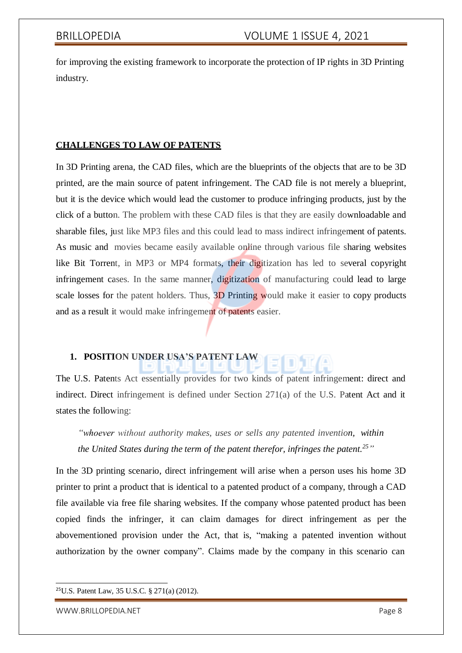for improving the existing framework to incorporate the protection of IP rights in 3D Printing industry.

### **CHALLENGES TO LAW OF PATENTS**

In 3D Printing arena, the CAD files, which are the blueprints of the objects that are to be 3D printed, are the main source of patent infringement. The CAD file is not merely a blueprint, but it is the device which would lead the customer to produce infringing products, just by the click of a button. The problem with these CAD files is that they are easily downloadable and sharable files, just like MP3 files and this could lead to mass indirect infringement of patents. As music and movies became easily available online through various file sharing websites like Bit Torrent, in MP3 or MP4 formats, their digitization has led to several copyright infringement cases. In the same manner, digitization of manufacturing could lead to large scale losses for the patent holders. Thus, 3D Printing would make it easier to copy products and as a result it would make infringement of patents easier.

### **1. POSITION UNDER USA'S PATENT LAW**

The U.S. Patents Act essentially provides for two kinds of patent infringement: direct and indirect. Direct infringement is defined under Section 271(a) of the U.S. Patent Act and it states the following:

*"whoever without authority makes, uses or sells any patented invention, within the United States during the term of the patent therefor, infringes the patent.<sup>25</sup>"*

In the 3D printing scenario, direct infringement will arise when a person uses his home 3D printer to print a product that is identical to a patented product of a company, through a CAD file available via free file sharing websites. If the company whose patented product has been copied finds the infringer, it can claim damages for direct infringement as per the abovementioned provision under the Act, that is, "making a patented invention without authorization by the owner company". Claims made by the company in this scenario can

<sup>25</sup>U.S. Patent Law, 35 U.S.C. § 271(a) (2012).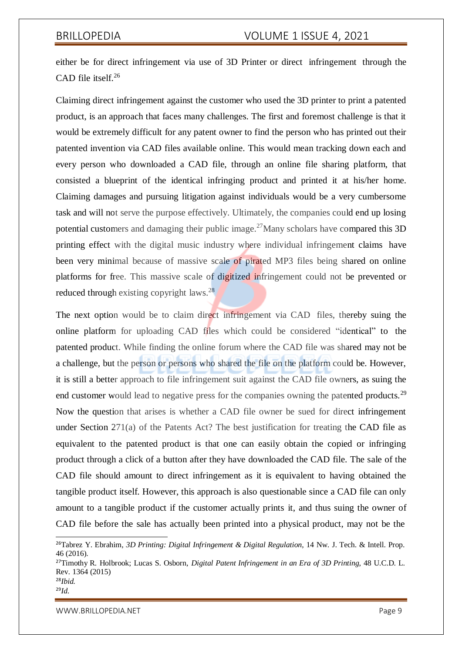either be for direct infringement via use of 3D Printer or direct infringement through the CAD file itself.<sup>26</sup>

Claiming direct infringement against the customer who used the 3D printer to print a patented product, is an approach that faces many challenges. The first and foremost challenge is that it would be extremely difficult for any patent owner to find the person who has printed out their patented invention via CAD files available online. This would mean tracking down each and every person who downloaded a CAD file, through an online file sharing platform, that consisted a blueprint of the identical infringing product and printed it at his/her home. Claiming damages and pursuing litigation against individuals would be a very cumbersome task and will not serve the purpose effectively. Ultimately, the companies could end up losing potential customers and damaging their public image.<sup>27</sup>Many scholars have compared this 3D printing effect with the digital music industry where individual infringement claims have been very minimal because of massive scale of pirated MP3 files being shared on online platforms for free. This massive scale of digitized infringement could not be prevented or reduced through existing copyright laws.<sup>28</sup>

The next option would be to claim direct infringement via CAD files, thereby suing the online platform for uploading CAD files which could be considered "identical" to the patented product. While finding the online forum where the CAD file was shared may not be a challenge, but the person or persons who shared the file on the platform could be. However, it is still a better approach to file infringement suit against the CAD file owners, as suing the end customer would lead to negative press for the companies owning the patented products.<sup>29</sup> Now the question that arises is whether a CAD file owner be sued for direct infringement under Section 271(a) of the Patents Act? The best justification for treating the CAD file as equivalent to the patented product is that one can easily obtain the copied or infringing product through a click of a button after they have downloaded the CAD file. The sale of the CAD file should amount to direct infringement as it is equivalent to having obtained the tangible product itself. However, this approach is also questionable since a CAD file can only amount to a tangible product if the customer actually prints it, and thus suing the owner of CAD file before the sale has actually been printed into a physical product, may not be the

[WWW.BRILLOPEDIA.NET](http://www.brillopedia.net/) Page 9

<sup>26</sup>Tabrez Y. Ebrahim, *3D Printing: Digital Infringement & Digital Regulation*, 14 Nw. J. Tech. & Intell. Prop. 46 (2016).

<sup>27</sup>Timothy R. Holbrook; Lucas S. Osborn, *Digital Patent Infringement in an Era of 3D Printing*, 48 U.C.D. L. Rev. 1364 (2015) <sup>28</sup>*Ibid.*

<sup>29</sup>*Id.*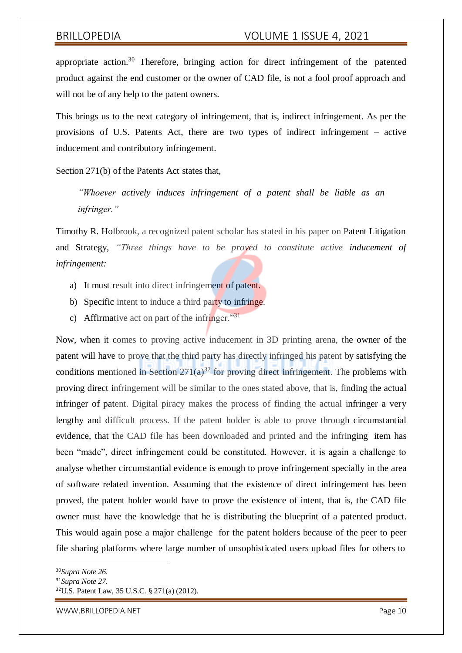appropriate action. $30$  Therefore, bringing action for direct infringement of the patented product against the end customer or the owner of CAD file, is not a fool proof approach and will not be of any help to the patent owners.

This brings us to the next category of infringement, that is, indirect infringement. As per the provisions of U.S. Patents Act, there are two types of indirect infringement – active inducement and contributory infringement.

Section 271(b) of the Patents Act states that,

*"Whoever actively induces infringement of a patent shall be liable as an infringer."*

Timothy R. Holbrook, a recognized patent scholar has stated in his paper on Patent Litigation and Strategy, *"Three things have to be proved to constitute active inducement of infringement:*

- a) It must result into direct infringement of patent.
- b) Specific intent to induce a third party to infringe.
- c) Affirmative act on part of the infringer. $131$

Now, when it comes to proving active inducement in 3D printing arena, the owner of the patent will have to prove that the third party has directly infringed his patent by satisfying the conditions mentioned in Section  $271(a)^{32}$  for proving direct infringement. The problems with proving direct infringement will be similar to the ones stated above, that is, finding the actual infringer of patent. Digital piracy makes the process of finding the actual infringer a very lengthy and difficult process. If the patent holder is able to prove through circumstantial evidence, that the CAD file has been downloaded and printed and the infringing item has been "made", direct infringement could be constituted. However, it is again a challenge to analyse whether circumstantial evidence is enough to prove infringement specially in the area of software related invention. Assuming that the existence of direct infringement has been proved, the patent holder would have to prove the existence of intent, that is, the CAD file owner must have the knowledge that he is distributing the blueprint of a patented product. This would again pose a major challenge for the patent holders because of the peer to peer file sharing platforms where large number of unsophisticated users upload files for others to

[WWW.BRILLOPEDIA.NET](http://www.brillopedia.net/) NET A SALE AND THE SERVICE OF A SALE AND THE PAGE 10

<sup>30</sup>*Supra Note 26.*

<sup>31</sup>*Supra Note 27.*

<sup>32</sup>U.S. Patent Law, 35 U.S.C. § 271(a) (2012).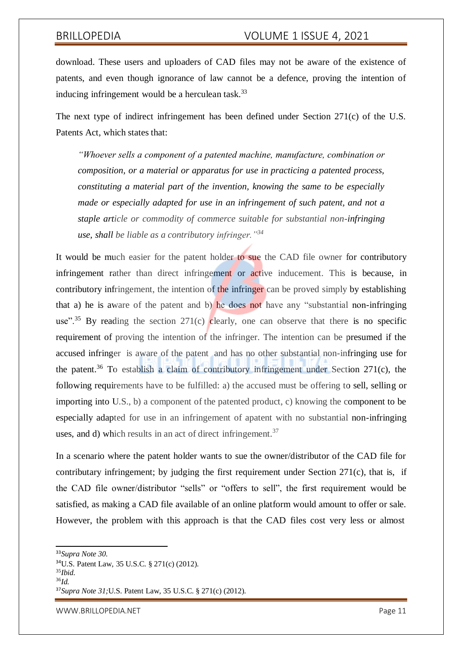download. These users and uploaders of CAD files may not be aware of the existence of patents, and even though ignorance of law cannot be a defence, proving the intention of inducing infringement would be a herculean task. $33$ 

The next type of indirect infringement has been defined under Section 271(c) of the U.S. Patents Act, which states that:

*"Whoever sells a component of a patented machine, manufacture, combination or composition, or a material or apparatus for use in practicing a patented process, constituting a material part of the invention, knowing the same to be especially made or especially adapted for use in an infringement of such patent, and not a staple article or commodity of commerce suitable for substantial non-infringing use, shall be liable as a contributory infringer."<sup>34</sup>*

It would be much easier for the patent holder to sue the CAD file owner for contributory infringement rather than direct infringement or active inducement. This is because, in contributory infringement, the intention of the infringer can be proved simply by establishing that a) he is aware of the patent and b) he does not have any "substantial non-infringing use"<sup>35</sup> By reading the section 271(c) clearly, one can observe that there is no specific requirement of proving the intention of the infringer. The intention can be presumed if the accused infringer is aware of the patent and has no other substantial non-infringing use for the patent.<sup>36</sup> To establish a claim of contributory infringement under Section 271(c), the following requirements have to be fulfilled: a) the accused must be offering to sell, selling or importing into U.S., b) a component of the patented product, c) knowing the component to be especially adapted for use in an infringement of apatent with no substantial non-infringing uses, and d) which results in an act of direct infringement.<sup>37</sup>

In a scenario where the patent holder wants to sue the owner/distributor of the CAD file for contributary infringement; by judging the first requirement under Section 271(c), that is, if the CAD file owner/distributor "sells" or "offers to sell", the first requirement would be satisfied, as making a CAD file available of an online platform would amount to offer or sale. However, the problem with this approach is that the CAD files cost very less or almost

[WWW.BRILLOPEDIA.NET](http://www.brillopedia.net/) NET A SAN A SERVER AND THE PAGE 11

<sup>33</sup>*Supra Note 30.*

<sup>34</sup>U.S. Patent Law, 35 U.S.C. § 271(c) (2012).

<sup>35</sup>*Ibid.* <sup>36</sup>*Id.*

<sup>37</sup>*Supra Note 31;*U.S. Patent Law, 35 U.S.C. § 271(c) (2012).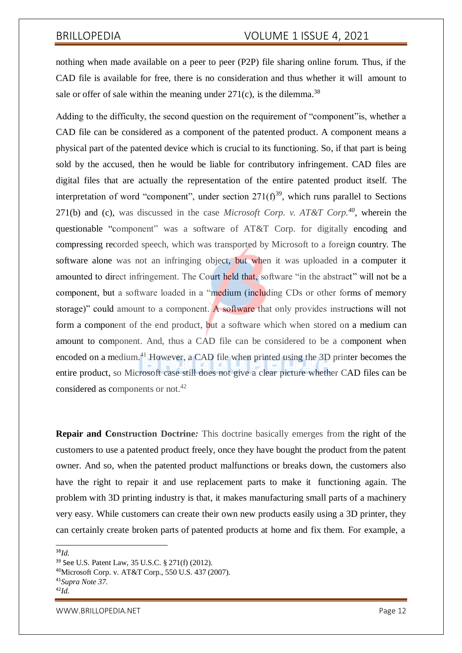nothing when made available on a peer to peer (P2P) file sharing online forum. Thus, if the CAD file is available for free, there is no consideration and thus whether it will amount to sale or offer of sale within the meaning under  $271(c)$ , is the dilemma.<sup>38</sup>

Adding to the difficulty, the second question on the requirement of "component"is, whether a CAD file can be considered as a component of the patented product. A component means a physical part of the patented device which is crucial to its functioning. So, if that part is being sold by the accused, then he would be liable for contributory infringement. CAD files are digital files that are actually the representation of the entire patented product itself. The interpretation of word "component", under section  $271(f)^{39}$ , which runs parallel to Sections 271(b) and (c), was discussed in the case *Microsoft Corp. v. AT&T Corp.*<sup>40</sup>, wherein the questionable "component" was a software of AT&T Corp. for digitally encoding and compressing recorded speech, which was transported by Microsoft to a foreign country. The software alone was not an infringing object, but when it was uploaded in a computer it amounted to direct infringement. The Court held that, software "in the abstract" will not be a component, but a software loaded in a "medium (including CDs or other forms of memory storage)" could amount to a component. A software that only provides instructions will not form a component of the end product, but a software which when stored on a medium can amount to component. And, thus a CAD file can be considered to be a component when encoded on a medium.<sup>41</sup> However, a CAD file when printed using the 3D printer becomes the entire product, so Microsoft case still does not give a clear picture whether CAD files can be considered as components or not.<sup>42</sup>

**Repair and Construction Doctrine***:* This doctrine basically emerges from the right of the customers to use a patented product freely, once they have bought the product from the patent owner. And so, when the patented product malfunctions or breaks down, the customers also have the right to repair it and use replacement parts to make it functioning again. The problem with 3D printing industry is that, it makes manufacturing small parts of a machinery very easy. While customers can create their own new products easily using a 3D printer, they can certainly create broken parts of patented products at home and fix them. For example, a

<sup>38</sup>*Id.*

[WWW.BRILLOPEDIA.NET](http://www.brillopedia.net/) NEWSPAPER AND THE SERVICE OF STATE AND THE PAGE 12

<sup>39</sup> See U.S. Patent Law, 35 U.S.C. § 271(f) (2012).

<sup>40</sup>Microsoft Corp. v. AT&T Corp., 550 U.S. 437 (2007).

<sup>41</sup>*Supra Note 37.*

<sup>42</sup>*Id.*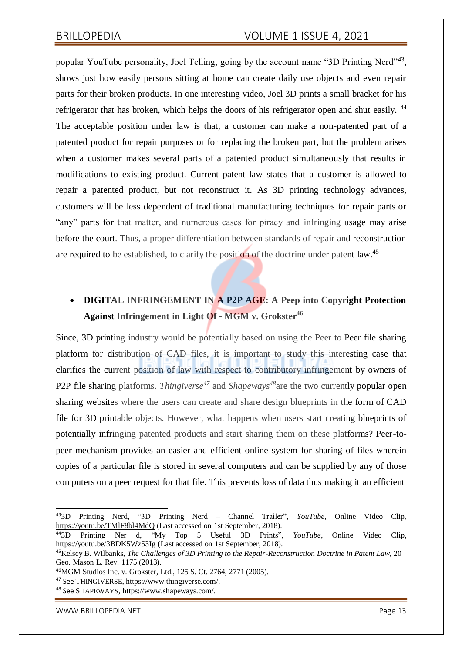popular YouTube personality, Joel Telling, going by the account name "3D Printing Nerd"<sup>43</sup>, shows just how easily persons sitting at home can create daily use objects and even repair parts for their broken products. In one interesting video, Joel 3D prints a small bracket for his refrigerator that has broken, which helps the doors of his refrigerator open and shut easily. <sup>44</sup> The acceptable position under law is that, a customer can make a non-patented part of a patented product for repair purposes or for replacing the broken part, but the problem arises when a customer makes several parts of a patented product simultaneously that results in modifications to existing product. Current patent law states that a customer is allowed to repair a patented product, but not reconstruct it. As 3D printing technology advances, customers will be less dependent of traditional manufacturing techniques for repair parts or "any" parts for that matter, and numerous cases for piracy and infringing usage may arise before the court. Thus, a proper differentiation between standards of repair and reconstruction are required to be established, to clarify the position of the doctrine under patent law.<sup>45</sup>

### **DIGITAL INFRINGEMENT IN A P2P AGE: A Peep into Copyright Protection Against Infringement in Light Of - MGM v. Grokster<sup>46</sup>**

Since, 3D printing industry would be potentially based on using the Peer to Peer file sharing platform for distribution of CAD files, it is important to study this interesting case that clarifies the current position of law with respect to contributory infringement by owners of P2P file sharing platforms. *Thingiverse<sup>47</sup>* and *Shapeways<sup>48</sup>*are the two currently popular open sharing websites where the users can create and share design blueprints in the form of CAD file for 3D printable objects. However, what happens when users start creating blueprints of potentially infringing patented products and start sharing them on these platforms? Peer-topeer mechanism provides an easier and efficient online system for sharing of files wherein copies of a particular file is stored in several computers and can be supplied by any of those computers on a peer request for that file. This prevents loss of data thus making it an efficient

[WWW.BRILLOPEDIA.NET](http://www.brillopedia.net/) NET A SALE AND THE SERVICE OF A SALE AND THE PAGE 13

<sup>43</sup>3D Printing Nerd, "3D Printing Nerd – Channel Trailer", *YouTube*, Online Video Clip, <https://youtu.be/TMlF8bl4MdQ> (Last accessed on 1st September, 2018).<br><sup>44</sup>3D Printing Ner d. "My Top 5 Useful 3D Prints",

<sup>44</sup>3D Printing Ner d, "My Top 5 Useful 3D Prints", *YouTube*, Online Video Clip, https://youtu.be/3BDK5Wz53Ig (Last accessed on 1st September, 2018).

<sup>45</sup>Kelsey B. Wilbanks, *The Challenges of 3D Printing to the Repair-Reconstruction Doctrine in Patent Law*, 20 Geo. Mason L. Rev. 1175 (2013).

<sup>46</sup>MGM Studios Inc. v. Grokster, Ltd., 125 S. Ct. 2764, 2771 (2005).

<sup>47</sup> See THINGIVERSE, https:/[/www.thingiverse.com/.](http://www.thingiverse.com/)

<sup>48</sup> See SHAPEWAYS, https:[//www.shapeways.com/.](http://www.shapeways.com/)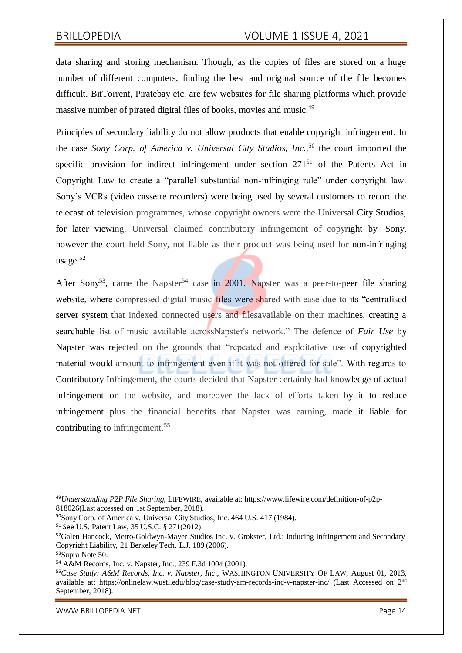data sharing and storing mechanism. Though, as the copies of files are stored on a huge number of different computers, finding the best and original source of the file becomes difficult. BitTorrent, Piratebay etc. are few websites for file sharing platforms which provide massive number of pirated digital files of books, movies and music.<sup>49</sup>

Principles of secondary liability do not allow products that enable copyright infringement. In the case *Sony Corp. of America v. Universal City Studios, Inc.*, <sup>50</sup> the court imported the specific provision for indirect infringement under section 271<sup>51</sup> of the Patents Act in Copyright Law to create a "parallel substantial non-infringing rule" under copyright law. Sony's VCRs (video cassette recorders) were being used by several customers to record the telecast of television programmes, whose copyright owners were the Universal City Studios, for later viewing. Universal claimed contributory infringement of copyright by Sony, however the court held Sony, not liable as their product was being used for non-infringing usage.<sup>52</sup>

After Sony<sup>53</sup>, came the Napster<sup>54</sup> case in 2001. Napster was a peer-to-peer file sharing website, where compressed digital music files were shared with ease due to its "centralised server system that indexed connected users and filesavailable on their machines, creating a searchable list of music available acrossNapster's network." The defence of *Fair Use* by Napster was rejected on the grounds that "repeated and exploitative use of copyrighted material would amount to infringement even if it was not offered for sale". With regards to Contributory Infringement, the courts decided that Napster certainly had knowledge of actual infringement on the website, and moreover the lack of efforts taken by it to reduce infringement plus the financial benefits that Napster was earning, made it liable for contributing to infringement.<sup>55</sup>

[WWW.BRILLOPEDIA.NET](http://www.brillopedia.net/) NEWSPAPER AND THE SERVICE OF STATE PAGE 14

<sup>49</sup>*Understanding P2P File Sharing*, LIFEWIRE, available at: https:/[/www.lifewire.com/definition-of-p2p-](http://www.lifewire.com/definition-of-p2p-)818026(Last accessed on 1st September, 2018).

<sup>50</sup>Sony Corp. of America v. Universal City Studios, Inc. 464 U.S. 417 (1984).

<sup>51</sup> See U.S. Patent Law, 35 U.S.C. § 271(2012).

<sup>&</sup>lt;sup>52</sup>Galen Hancock, Metro-Goldwyn-Mayer Studios Inc. v. Grokster, Ltd.: Inducing Infringement and Secondary Copyright Liability, 21 Berkeley Tech. L.J. 189 (2006).

<sup>53</sup>Supra Note 50.

<sup>54</sup> A&M Records, Inc. v. Napster, Inc., 239 F.3d 1004 (2001).

<sup>55</sup>*Case Study: A&M Records, Inc. v. Napster, Inc*., WASHINGTON UNIVERSITY OF LAW, August 01, 2013, available at: https://onlinelaw.wustl.edu/blog/case-study-am-records-inc-v-napster-inc/ (Last Accessed on 2nd September, 2018).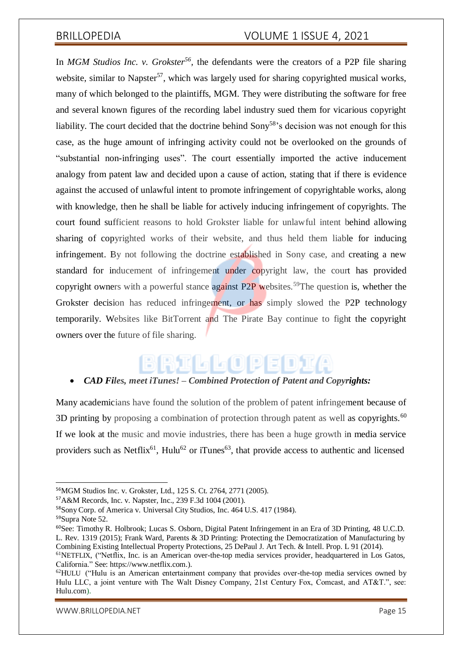In *MGM Studios Inc. v. Grokster*<sup>56</sup>, the defendants were the creators of a P2P file sharing website, similar to Napster<sup>57</sup>, which was largely used for sharing copyrighted musical works, many of which belonged to the plaintiffs, MGM. They were distributing the software for free and several known figures of the recording label industry sued them for vicarious copyright liability. The court decided that the doctrine behind  $Sony^{58}$ 's decision was not enough for this case, as the huge amount of infringing activity could not be overlooked on the grounds of "substantial non-infringing uses". The court essentially imported the active inducement analogy from patent law and decided upon a cause of action, stating that if there is evidence against the accused of unlawful intent to promote infringement of copyrightable works, along with knowledge, then he shall be liable for actively inducing infringement of copyrights. The court found sufficient reasons to hold Grokster liable for unlawful intent behind allowing sharing of copyrighted works of their website, and thus held them liable for inducing infringement. By not following the doctrine established in Sony case, and creating a new standard for inducement of infringement under copyright law, the court has provided copyright owners with a powerful stance against  $P2P$  websites.<sup>59</sup>The question is, whether the Grokster decision has reduced infringement, or has simply slowed the P2P technology temporarily. Websites like BitTorrent and The Pirate Bay continue to fight the copyright owners over the future of file sharing.

# BRITH GOPE

#### *CAD Files, meet iTunes! – Combined Protection of Patent and Copyrights:*

Many academicians have found the solution of the problem of patent infringement because of 3D printing by proposing a combination of protection through patent as well as copyrights.<sup>60</sup> If we look at the music and movie industries, there has been a huge growth in media service providers such as Netflix<sup>61</sup>, Hulu<sup>62</sup> or iTunes<sup>63</sup>, that provide access to authentic and licensed

[WWW.BRILLOPEDIA.NET](http://www.brillopedia.net/) NET A SAN A SERVER AND THE PAGE 15

<sup>56</sup>MGM Studios Inc. v. Grokster, Ltd., 125 S. Ct. 2764, 2771 (2005).

<sup>57</sup>A&M Records, Inc. v. Napster, Inc., 239 F.3d 1004 (2001).

<sup>58</sup>Sony Corp. of America v. Universal City Studios, Inc. 464 U.S. 417 (1984).

<sup>59</sup>Supra Note 52.

<sup>60</sup>See: Timothy R. Holbrook; Lucas S. Osborn, Digital Patent Infringement in an Era of 3D Printing, 48 U.C.D. L. Rev. 1319 (2015); Frank Ward, Parents & 3D Printing: Protecting the Democratization of Manufacturing by Combining Existing Intellectual Property Protections, 25 DePaul J. Art Tech. & Intell. Prop. L 91 (2014).

<sup>61</sup>NETFLIX, ("Netflix, Inc. is an American over-the-top media services provider, headquartered in Los Gatos, California." See: https://www.netflix.com.).

 $62$ HULU ("Hulu is an American entertainment company that provides over-the-top media services owned by Hulu LLC, a joint venture with The Walt Disney Company, 21st Century Fox, Comcast, and AT&T.", see: Hulu.com).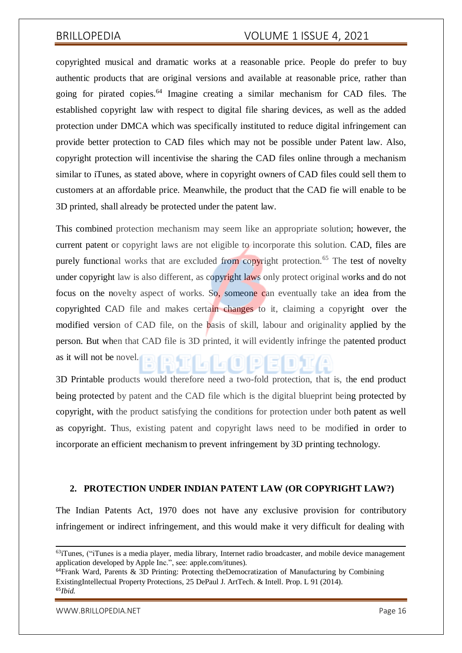copyrighted musical and dramatic works at a reasonable price. People do prefer to buy authentic products that are original versions and available at reasonable price, rather than going for pirated copies.<sup>64</sup> Imagine creating a similar mechanism for CAD files. The established copyright law with respect to digital file sharing devices, as well as the added protection under DMCA which was specifically instituted to reduce digital infringement can provide better protection to CAD files which may not be possible under Patent law. Also, copyright protection will incentivise the sharing the CAD files online through a mechanism similar to iTunes, as stated above, where in copyright owners of CAD files could sell them to customers at an affordable price. Meanwhile, the product that the CAD fie will enable to be 3D printed, shall already be protected under the patent law.

This combined protection mechanism may seem like an appropriate solution; however, the current patent or copyright laws are not eligible to incorporate this solution. CAD, files are purely functional works that are excluded from copyright protection.<sup>65</sup> The test of novelty under copyright law is also different, as copyright laws only protect original works and do not focus on the novelty aspect of works. So, someone can eventually take an idea from the copyrighted CAD file and makes certain changes to it, claiming a copyright over the modified version of CAD file, on the basis of skill, labour and originality applied by the person. But when that CAD file is 3D printed, it will evidently infringe the patented product as it will not be novel.

3D Printable products would therefore need a two-fold protection, that is, the end product being protected by patent and the CAD file which is the digital blueprint being protected by copyright, with the product satisfying the conditions for protection under both patent as well as copyright. Thus, existing patent and copyright laws need to be modified in order to incorporate an efficient mechanism to prevent infringement by 3D printing technology.

#### **2. PROTECTION UNDER INDIAN PATENT LAW (OR COPYRIGHT LAW?)**

The Indian Patents Act, 1970 does not have any exclusive provision for contributory infringement or indirect infringement, and this would make it very difficult for dealing with

[WWW.BRILLOPEDIA.NET](http://www.brillopedia.net/) NET A SALE AND THE SERVICE OF A SALE AND THE PAGE 16

<sup>&</sup>lt;sup>63</sup>iTunes, ("iTunes is a media player, media library, Internet radio broadcaster, and mobile device management application developed by Apple Inc.", see: apple.com/itunes).

 $64$ Frank Ward, Parents & 3D Printing: Protecting theDemocratization of Manufacturing by Combining ExistingIntellectual Property Protections, 25 DePaul J. ArtTech. & Intell. Prop. L 91 (2014). 65*Ibid.*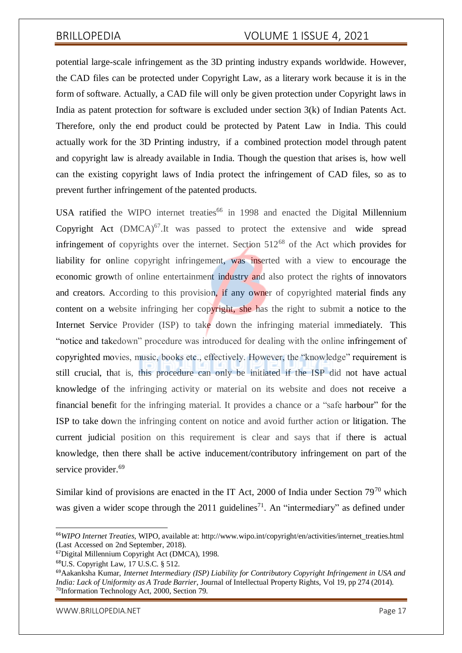potential large-scale infringement as the 3D printing industry expands worldwide. However, the CAD files can be protected under Copyright Law, as a literary work because it is in the form of software. Actually, a CAD file will only be given protection under Copyright laws in India as patent protection for software is excluded under section 3(k) of Indian Patents Act. Therefore, only the end product could be protected by Patent Law in India. This could actually work for the 3D Printing industry, if a combined protection model through patent and copyright law is already available in India. Though the question that arises is, how well can the existing copyright laws of India protect the infringement of CAD files, so as to prevent further infringement of the patented products.

USA ratified the WIPO internet treaties<sup>66</sup> in 1998 and enacted the Digital Millennium Copyright Act  $(DMCA)^{67}$ . It was passed to protect the extensive and wide spread infringement of copyrights over the internet. Section  $512^{68}$  of the Act which provides for liability for online copyright infringement, was inserted with a view to encourage the economic growth of online entertainment industry and also protect the rights of innovators and creators. According to this provision, if any owner of copyrighted material finds any content on a website infringing her copyright, she has the right to submit a notice to the Internet Service Provider (ISP) to take down the infringing material immediately. This "notice and takedown" procedure was introduced for dealing with the online infringement of copyrighted movies, music, books etc., effectively. However, the "knowledge" requirement is still crucial, that is, this procedure can only be initiated if the ISP did not have actual knowledge of the infringing activity or material on its website and does not receive a financial benefit for the infringing material. It provides a chance or a "safe harbour" for the ISP to take down the infringing content on notice and avoid further action or litigation. The current judicial position on this requirement is clear and says that if there is actual knowledge, then there shall be active inducement/contributory infringement on part of the service provider.<sup>69</sup>

Similar kind of provisions are enacted in the IT Act, 2000 of India under Section  $79^{70}$  which was given a wider scope through the  $2011$  guidelines<sup>71</sup>. An "intermediary" as defined under

[WWW.BRILLOPEDIA.NET](http://www.brillopedia.net/) NET A SAN A SERVER AND THE PAGE 17

<sup>&</sup>lt;sup>66</sup>WIPO Internet Treaties, WIPO, available at[: http://www.wipo.int/copyright/en/activities/internet\\_treaties.html](http://www.wipo.int/copyright/en/activities/internet_treaties.html) (Last Accessed on 2nd September, 2018).

<sup>67</sup>Digital Millennium Copyright Act (DMCA), 1998.

<sup>68</sup>U.S. Copyright Law, 17 U.S.C. § 512.

<sup>69</sup>Aakanksha Kumar, *Internet Intermediary (ISP) Liability for Contributory Copyright Infringement in USA and India: Lack of Uniformity as A Trade Barrier*, Journal of Intellectual Property Rights, Vol 19, pp 274 (2014). <sup>70</sup>Information Technology Act, 2000, Section 79.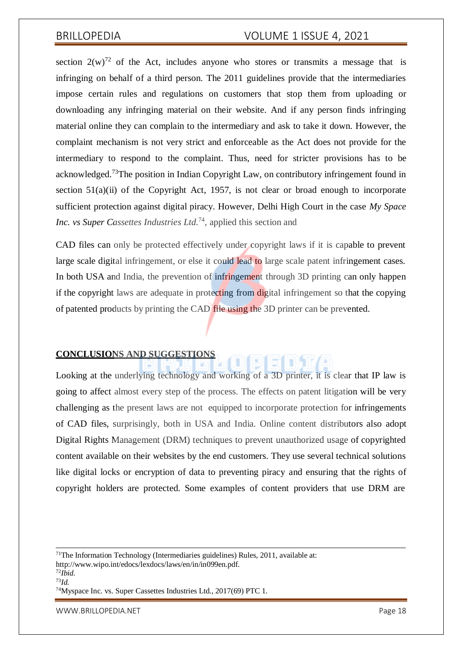section  $2(w)^{72}$  of the Act, includes anyone who stores or transmits a message that is infringing on behalf of a third person. The 2011 guidelines provide that the intermediaries impose certain rules and regulations on customers that stop them from uploading or downloading any infringing material on their website. And if any person finds infringing material online they can complain to the intermediary and ask to take it down. However, the complaint mechanism is not very strict and enforceable as the Act does not provide for the intermediary to respond to the complaint. Thus, need for stricter provisions has to be acknowledged.<sup>73</sup>The position in Indian Copyright Law, on contributory infringement found in section  $51(a)(ii)$  of the Copyright Act, 1957, is not clear or broad enough to incorporate sufficient protection against digital piracy. However, Delhi High Court in the case *My Space Inc. vs Super Cassettes Industries Ltd.*<sup>74</sup> *,* applied this section and

CAD files can only be protected effectively under copyright laws if it is capable to prevent large scale digital infringement, or else it could lead to large scale patent infringement cases. In both USA and India, the prevention of infringement through 3D printing can only happen if the copyright laws are adequate in protecting from digital infringement so that the copying of patented products by printing the CAD file using the 3D printer can be prevented.

#### **CONCLUSIONS AND SUGGESTIONS**

Looking at the underlying technology and working of a 3D printer, it is clear that IP law is going to affect almost every step of the process. The effects on patent litigation will be very challenging as the present laws are not equipped to incorporate protection for infringements of CAD files, surprisingly, both in USA and India. Online content distributors also adopt Digital Rights Management (DRM) techniques to prevent unauthorized usage of copyrighted content available on their websites by the end customers. They use several technical solutions like digital locks or encryption of data to preventing piracy and ensuring that the rights of copyright holders are protected. Some examples of content providers that use DRM are

<sup>71</sup>The Information Technology (Intermediaries guidelines) Rules, 2011, available at: [http://www.wipo.int/edocs/lexdocs/laws/en/in/in099en.pdf.](http://www.wipo.int/edocs/lexdocs/laws/en/in/in099en.pdf)

<sup>72</sup>*Ibid.*

<sup>73</sup>*Id.*

<sup>74</sup>Myspace Inc. vs. Super Cassettes Industries Ltd., 2017(69) PTC 1.